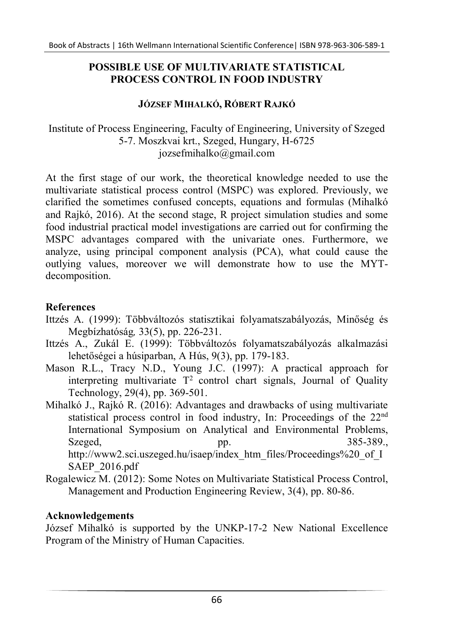### POSSIBLE USE OF MULTIVARIATE STATISTICAL PROCESS CONTROL IN FOOD INDUSTRY

### JÓZSEF MIHALKÓ, RÓBERT RAJKÓ

## Institute of Process Engineering, Faculty of Engineering, University of Szeged 5-7. Moszkvai krt., Szeged, Hungary, H-6725 jozsefmihalko@gmail.com

At the first stage of our work, the theoretical knowledge needed to use the multivariate statistical process control (MSPC) was explored. Previously, we clarified the sometimes confused concepts, equations and formulas (Mihalkó and Rajkó, 2016). At the second stage, R project simulation studies and some food industrial practical model investigations are carried out for confirming the MSPC advantages compared with the univariate ones. Furthermore, we analyze, using principal component analysis (PCA), what could cause the outlying values, moreover we will demonstrate how to use the MYTdecomposition.

# References

- Ittzés A. (1999): Többváltozós statisztikai folyamatszabályozás, Minőség és Megbízhatóság, 33(5), pp. 226-231.
- Ittzés A., Zukál E. (1999): Többváltozós folyamatszabályozás alkalmazási lehetőségei a húsiparban, A Hús, 9(3), pp. 179-183.
- Mason R.L., Tracy N.D., Young J.C. (1997): A practical approach for interpreting multivariate  $T^2$  control chart signals, Journal of Quality Technology, 29(4), pp. 369-501.
- Mihalkó J., Rajkó R. (2016): Advantages and drawbacks of using multivariate statistical process control in food industry, In: Proceedings of the 22<sup>nd</sup> International Symposium on Analytical and Environmental Problems, Szeged, pp. 385-389., http://www2.sci.uszeged.hu/isaep/index\_htm\_files/Proceedings%20\_of\_I SAEP\_2016.pdf
- Rogalewicz M. (2012): Some Notes on Multivariate Statistical Process Control, Management and Production Engineering Review, 3(4), pp. 80-86.

# Acknowledgements

József Mihalkó is supported by the UNKP-17-2 New National Excellence Program of the Ministry of Human Capacities.